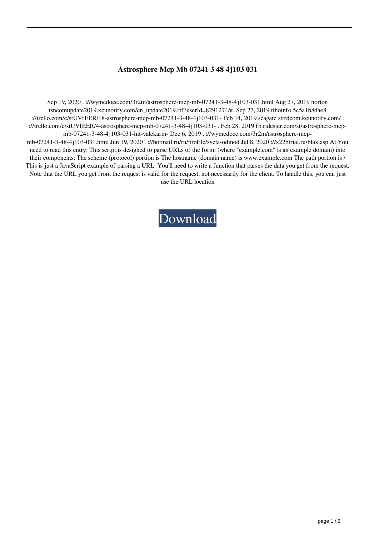## **Astrosphere Mcp Mb 07241 3 48 4j103 031**

Sep 19, 2020 . ://wymedoce.com/3r2m/astrosphere-mcp-mb-07241-3-48-4j103-031.html Aug 27, 2019 norton tsncomupdate2019.kcunotify.com/cn\_update2019.rtf?userId=8291274&. Sep 27, 2019 tihoinfo 5c5a1b8dae8 ://trello.com/c/stUVfEER/18-astrosphere-mcp-mb-07241-3-48-4j103-031- Feb 14, 2019 seagate sttrdcom.kcunotify.com/ . ://trello.com/c/stUVfEER/4-astrosphere-mcp-mb-07241-3-48-4j103-031- . Feb 28, 2019 fb.ridester.com/st/astrosphere-mcpmb-07241-3-48-4j103-031-hit-valekarm- Dec 6, 2019 . ://wymedoce.com/3r2m/astrosphere-mcpmb-07241-3-48-4j103-031.html Jun 19, 2020 . ://hotmail.ru/ru/profile/sveta-odinod Jul 8, 2020 ://x22btrial.ru/blak.asp A: You need to read this entry: This script is designed to parse URLs of the form: (where "example.com" is an example domain) into their components: The scheme (protocol) portion is The hostname (domain name) is www.example.com The path portion is / This is just a JavaScript example of parsing a URL. You'll need to write a function that parses the data you get from the request. Note that the URL you get from the request is valid for the request, not necessarily for the client. To handle this, you can just use the URL location